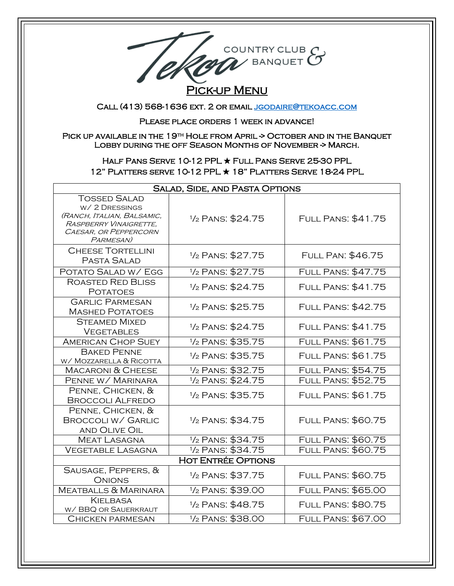

## **PICK-UP MENU**

Call (413) 568-1636 ext. 2 or emai[l jgodaire@tekoacc.com](mailto:jgodaire@tekoacc.com) 

Please place orders 1 week in advance!

PICK UP AVAILABLE IN THE 19<sup>TH</sup> HOLE FROM APRIL -> OCTOBER AND IN THE BANQUET LOBBY DURING THE OFF SEASON MONTHS OF NOVEMBER -> MARCH.

## Half Pans Serve 10-12 PPL ★ Full Pans Serve 25-30 PPL 12" Platters serve 10-12 PPL ★ 18" Platters Serve 18-24 PPL

| <b>SALAD, SIDE, AND PASTA OPTIONS</b>                                                                                              |                               |                           |  |
|------------------------------------------------------------------------------------------------------------------------------------|-------------------------------|---------------------------|--|
| <b>TOSSED SALAD</b><br>W/2 DRESSINGS<br>(RANCH, ITALIAN, BALSAMIC,<br>RASPBERRY VINAIGRETTE,<br>CAESAR, OR PEPPERCORN<br>PARMESAN) | 1/ <sub>2</sub> PANS: \$24.75 | <b>FULL PANS: \$41.75</b> |  |
| <b>CHEESE TORTELLINI</b><br>PASTA SALAD                                                                                            | 1/ <sub>2</sub> PANS: \$27.75 | <b>FULL PAN: \$46.75</b>  |  |
| POTATO SALAD W/ EGG                                                                                                                | 1/ <sub>2</sub> PANS: \$27.75 | <b>FULL PANS: \$47.75</b> |  |
| <b>ROASTED RED BLISS</b><br><b>POTATOES</b>                                                                                        | 1/ <sub>2</sub> PANS: \$24.75 | <b>FULL PANS: \$41.75</b> |  |
| <b>GARLIC PARMESAN</b><br><b>MASHED POTATOES</b>                                                                                   | 1/ <sub>2</sub> PANS: \$25.75 | <b>FULL PANS: \$42.75</b> |  |
| <b>STEAMED MIXED</b><br><b>VEGETABLES</b>                                                                                          | 1/ <sub>2</sub> PANS: \$24.75 | <b>FULL PANS: \$41.75</b> |  |
| <b>AMERICAN CHOP SUEY</b>                                                                                                          | 1/ <sub>2</sub> PANS: \$35.75 | <b>FULL PANS: \$61.75</b> |  |
| <b>BAKED PENNE</b><br>W/ MOZZARELLA & RICOTTA                                                                                      | 1/ <sub>2</sub> PANS: \$35.75 | <b>FULL PANS: \$61.75</b> |  |
| <b>MACARONI &amp; CHEESE</b>                                                                                                       | 1/ <sub>2</sub> PANS: \$32.75 | <b>FULL PANS: \$54.75</b> |  |
| PENNE W/ MARINARA                                                                                                                  | 1/ <sub>2</sub> PANS: \$24.75 | <b>FULL PANS: \$52.75</b> |  |
| PENNE, CHICKEN, &<br><b>BROCCOLI ALFREDO</b>                                                                                       | 1/ <sub>2</sub> PANS: \$35.75 | <b>FULL PANS: \$61.75</b> |  |
| PENNE, CHICKEN, &<br><b>BROCCOLI W/ GARLIC</b><br><b>AND OLIVE OIL</b>                                                             | 1/ <sub>2</sub> PANS: \$34.75 | <b>FULL PANS: \$60.75</b> |  |
| <b>MEAT LASAGNA</b>                                                                                                                | 1/ <sub>2</sub> PANS: \$34.75 | <b>FULL PANS: \$60.75</b> |  |
| <b>VEGETABLE LASAGNA</b>                                                                                                           | 1/ <sub>2</sub> PANS: \$34.75 | <b>FULL PANS: \$60.75</b> |  |
| <b>HOT ENTRÉE OPTIONS</b>                                                                                                          |                               |                           |  |
| SAUSAGE, PEPPERS, &<br><b>ONIONS</b>                                                                                               | 1/ <sub>2</sub> PANS: \$37.75 | <b>FULL PANS: \$60.75</b> |  |
| <b>MEATBALLS &amp; MARINARA</b>                                                                                                    | 1/ <sub>2</sub> PANS: \$39.00 | <b>FULL PANS: \$65.00</b> |  |
| <b>KIELBASA</b><br>W/ BBQ OR SAUERKRAUT                                                                                            | 1/ <sub>2</sub> PANS: \$48.75 | <b>FULL PANS: \$80.75</b> |  |
| <b>CHICKEN PARMESAN</b>                                                                                                            | 1/ <sub>2</sub> PANS: \$38.00 | <b>FULL PANS: \$67.00</b> |  |